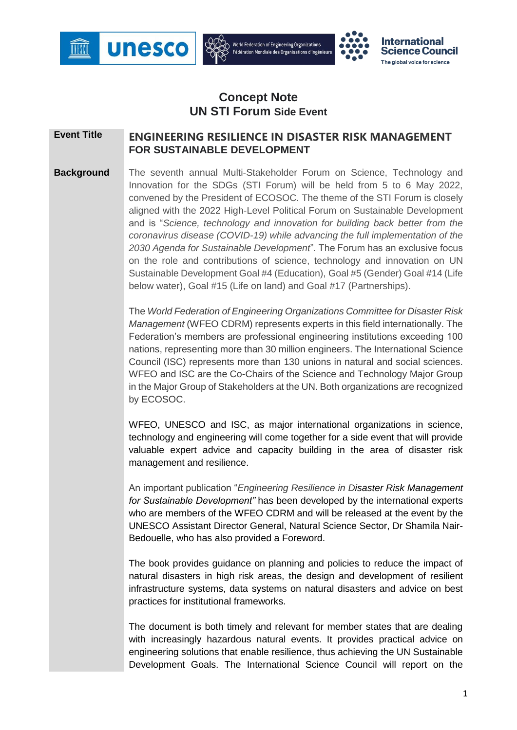





## **Concept Note UN STI Forum Side Event**

## **Event Title ENGINEERING RESILIENCE IN DISASTER RISK MANAGEMENT FOR SUSTAINABLE DEVELOPMENT**

**Background** The seventh annual Multi-Stakeholder Forum on Science, Technology and Innovation for the SDGs (STI Forum) will be held from 5 to 6 May 2022, convened by the President of ECOSOC. The theme of the STI Forum is closely aligned with the 2022 High-Level Political Forum on Sustainable Development and is "*Science, technology and innovation for building back better from the coronavirus disease (COVID-19) while advancing the full implementation of the 2030 Agenda for Sustainable Development*". The Forum has an exclusive focus on the role and contributions of science, technology and innovation on UN Sustainable Development Goal #4 (Education), Goal #5 (Gender) Goal #14 (Life below water), Goal #15 (Life on land) and Goal #17 (Partnerships).

> The *World Federation of Engineering Organizations Committee for Disaster Risk Management* (WFEO CDRM) represents experts in this field internationally. The Federation's members are professional engineering institutions exceeding 100 nations, representing more than 30 million engineers. The International Science Council (ISC) represents more than 130 unions in natural and social sciences. WFEO and ISC are the Co-Chairs of the Science and Technology Major Group in the Major Group of Stakeholders at the UN. Both organizations are recognized by ECOSOC.

> WFEO, UNESCO and ISC, as major international organizations in science, technology and engineering will come together for a side event that will provide valuable expert advice and capacity building in the area of disaster risk management and resilience.

> An important publication "*Engineering Resilience in Disaster Risk Management for Sustainable Development"* has been developed by the international experts who are members of the WFEO CDRM and will be released at the event by the UNESCO Assistant Director General, Natural Science Sector, Dr Shamila Nair-Bedouelle, who has also provided a Foreword.

> The book provides guidance on planning and policies to reduce the impact of natural disasters in high risk areas, the design and development of resilient infrastructure systems, data systems on natural disasters and advice on best practices for institutional frameworks.

> The document is both timely and relevant for member states that are dealing with increasingly hazardous natural events. It provides practical advice on engineering solutions that enable resilience, thus achieving the UN Sustainable Development Goals. The International Science Council will report on the